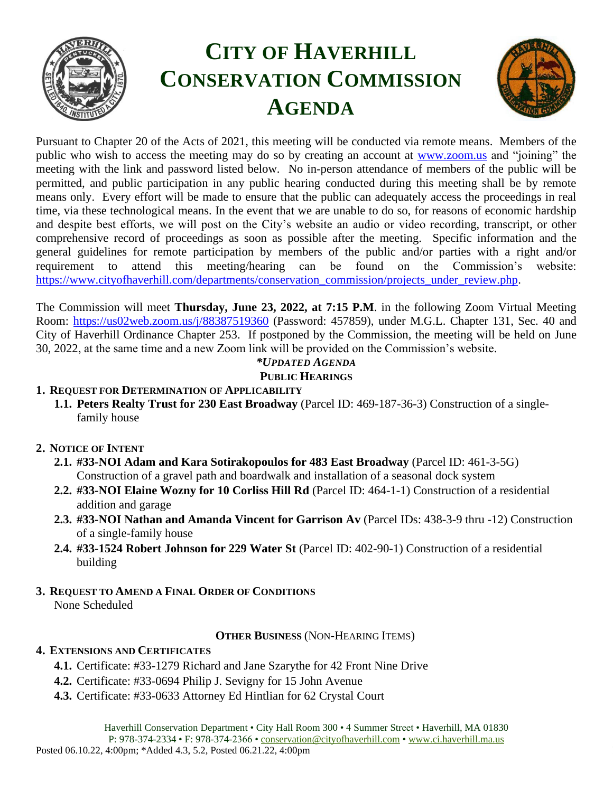

# **CITY OF HAVERHILL CONSERVATION COMMISSION AGENDA**



Pursuant to Chapter 20 of the Acts of 2021, this meeting will be conducted via remote means. Members of the public who wish to access the meeting may do so by creating an account at [www.zoom.us](http://www.zoom.us/) and "joining" the meeting with the link and password listed below. No in-person attendance of members of the public will be permitted, and public participation in any public hearing conducted during this meeting shall be by remote means only. Every effort will be made to ensure that the public can adequately access the proceedings in real time, via these technological means. In the event that we are unable to do so, for reasons of economic hardship and despite best efforts, we will post on the City's website an audio or video recording, transcript, or other comprehensive record of proceedings as soon as possible after the meeting. Specific information and the general guidelines for remote participation by members of the public and/or parties with a right and/or requirement to attend this meeting/hearing can be found on the Commission's website: [https://www.cityofhaverhill.com/departments/conservation\\_commission/projects\\_under\\_review.php.](https://www.cityofhaverhill.com/departments/conservation_commission/projects_under_review.php)

The Commission will meet **Thursday, June 23, 2022, at 7:15 P.M**. in the following Zoom Virtual Meeting Room:<https://us02web.zoom.us/j/88387519360> (Password: 457859), under M.G.L. Chapter 131, Sec. 40 and City of Haverhill Ordinance Chapter 253. If postponed by the Commission, the meeting will be held on June 30, 2022, at the same time and a new Zoom link will be provided on the Commission's website.

# *\*UPDATED AGENDA*

#### **PUBLIC HEARINGS**

#### **1. REQUEST FOR DETERMINATION OF APPLICABILITY**

- **1.1. Peters Realty Trust for 230 East Broadway** (Parcel ID: 469-187-36-3) Construction of a singlefamily house
- **2. NOTICE OF INTENT**
	- **2.1. #33-NOI Adam and Kara Sotirakopoulos for 483 East Broadway** (Parcel ID: 461-3-5G) Construction of a gravel path and boardwalk and installation of a seasonal dock system
	- **2.2. #33-NOI Elaine Wozny for 10 Corliss Hill Rd** (Parcel ID: 464-1-1) Construction of a residential addition and garage
	- **2.3. #33-NOI Nathan and Amanda Vincent for Garrison Av** (Parcel IDs: 438-3-9 thru -12) Construction of a single-family house
	- **2.4. #33-1524 Robert Johnson for 229 Water St** (Parcel ID: 402-90-1) Construction of a residential building
- **3. REQUEST TO AMEND A FINAL ORDER OF CONDITIONS**  None Scheduled

#### **OTHER BUSINESS** (NON-HEARING ITEMS)

#### **4. EXTENSIONS AND CERTIFICATES**

- **4.1.** Certificate: #33-1279 Richard and Jane Szarythe for 42 Front Nine Drive
- **4.2.** Certificate: #33-0694 Philip J. Sevigny for 15 John Avenue
- **4.3.** Certificate: #33-0633 Attorney Ed Hintlian for 62 Crystal Court